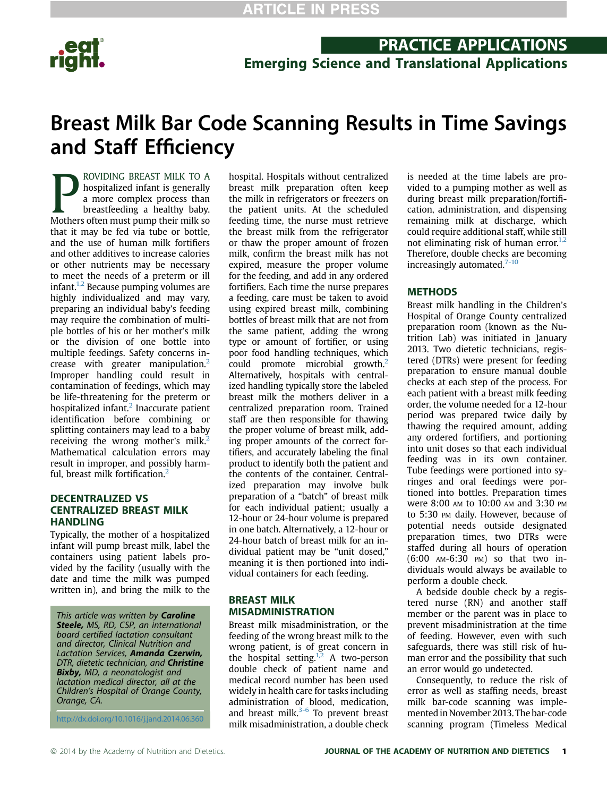

# Breast Milk Bar Code Scanning Results in Time Savings and Staff Efficiency

**PERELAST MILK TO A**<br> **A** hospitalized infant is generally<br> **A** a more complex process than<br>
breastfeeding a healthy baby.<br>
Mothers often must pump their milk so ROVIDING BREAST MILK TO A hospitalized infant is generally a more complex process than breastfeeding a healthy baby. that it may be fed via tube or bottle, and the use of human milk fortifiers and other additives to increase calories or other nutrients may be necessary to meet the needs of a preterm or ill infant. $1,2$  Because pumping volumes are highly individualized and may vary, preparing an individual baby's feeding may require the combination of multiple bottles of his or her mother's milk or the division of one bottle into multiple feedings. Safety concerns in-crease with greater manipulation.<sup>[2](#page-2-0)</sup> Improper handling could result in contamination of feedings, which may be life-threatening for the preterm or hospitalized infant.<sup>[2](#page-2-0)</sup> Inaccurate patient identification before combining or splitting containers may lead to a baby receiving the wrong mother's milk.<sup>[2](#page-2-0)</sup> Mathematical calculation errors may result in improper, and possibly harm-ful, breast milk fortification.<sup>[2](#page-2-0)</sup>

### DECENTRALIZED VS CENTRALIZED BREAST MILK HANDLING

Typically, the mother of a hospitalized infant will pump breast milk, label the containers using patient labels provided by the facility (usually with the date and time the milk was pumped written in), and bring the milk to the

This article was written by **Caroline** Steele, MS, RD, CSP, an international board certified lactation consultant and director, Clinical Nutrition and Lactation Services, Amanda Czerwin, DTR, dietetic technician, and Christine **Bixby,** MD, a neonatologist and lactation medical director, all at the Children's Hospital of Orange County, Orange, CA.

<http://dx.doi.org/10.1016/j.jand.2014.06.360>

hospital. Hospitals without centralized breast milk preparation often keep the milk in refrigerators or freezers on the patient units. At the scheduled feeding time, the nurse must retrieve the breast milk from the refrigerator or thaw the proper amount of frozen milk, confirm the breast milk has not expired, measure the proper volume for the feeding, and add in any ordered fortifiers. Each time the nurse prepares a feeding, care must be taken to avoid using expired breast milk, combining bottles of breast milk that are not from the same patient, adding the wrong type or amount of fortifier, or using poor food handling techniques, which could promote microbial growth.<sup>2</sup> Alternatively, hospitals with centralized handling typically store the labeled breast milk the mothers deliver in a centralized preparation room. Trained staff are then responsible for thawing the proper volume of breast milk, adding proper amounts of the correct fortifiers, and accurately labeling the final product to identify both the patient and the contents of the container. Centralized preparation may involve bulk preparation of a "batch" of breast milk for each individual patient; usually a 12-hour or 24-hour volume is prepared in one batch. Alternatively, a 12-hour or 24-hour batch of breast milk for an individual patient may be "unit dosed," meaning it is then portioned into individual containers for each feeding.

### BREAST MILK MISADMINISTRATION

Breast milk misadministration, or the feeding of the wrong breast milk to the wrong patient, is of great concern in the hospital setting.<sup>[1,2](#page-2-0)</sup> A two-person double check of patient name and medical record number has been used widely in health care for tasks including administration of blood, medication, and breast milk. $3-6$  To prevent breast milk misadministration, a double check

is needed at the time labels are provided to a pumping mother as well as during breast milk preparation/fortification, administration, and dispensing remaining milk at discharge, which could require additional staff, while still not eliminating risk of human error. $1,2$ Therefore, double checks are becoming increasingly automated.<sup>[7-10](#page-2-0)</sup>

### **METHODS**

Breast milk handling in the Children's Hospital of Orange County centralized preparation room (known as the Nutrition Lab) was initiated in January 2013. Two dietetic technicians, registered (DTRs) were present for feeding preparation to ensure manual double checks at each step of the process. For each patient with a breast milk feeding order, the volume needed for a 12-hour period was prepared twice daily by thawing the required amount, adding any ordered fortifiers, and portioning into unit doses so that each individual feeding was in its own container. Tube feedings were portioned into syringes and oral feedings were portioned into bottles. Preparation times were 8:00 AM to 10:00 AM and 3:30 PM to 5:30 PM daily. However, because of potential needs outside designated preparation times, two DTRs were staffed during all hours of operation (6:00 AM-6:30 PM) so that two individuals would always be available to perform a double check.

A bedside double check by a registered nurse (RN) and another staff member or the parent was in place to prevent misadministration at the time of feeding. However, even with such safeguards, there was still risk of human error and the possibility that such an error would go undetected.

Consequently, to reduce the risk of error as well as staffing needs, breast milk bar-code scanning was implemented in November 2013. The bar-code scanning program (Timeless Medical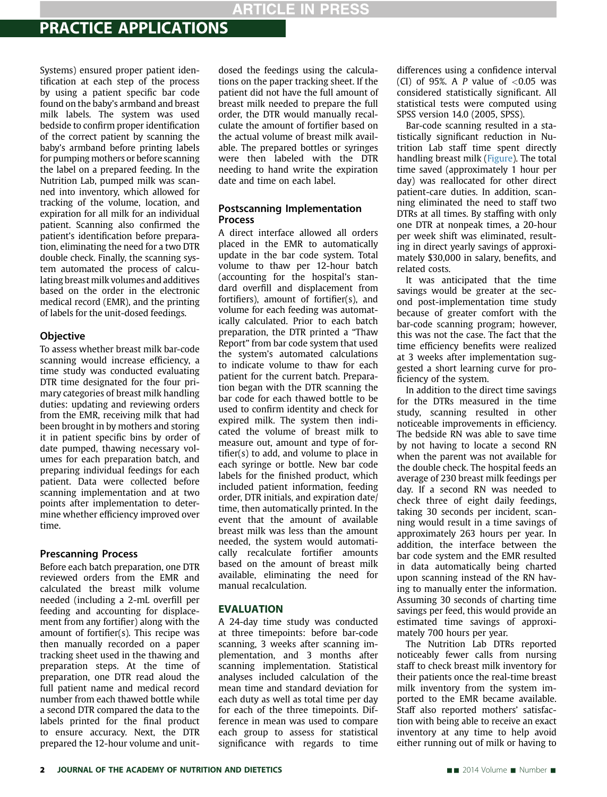## PRACTICE APPLICATIONS

Systems) ensured proper patient identification at each step of the process by using a patient specific bar code found on the baby's armband and breast milk labels. The system was used bedside to confirm proper identification of the correct patient by scanning the baby's armband before printing labels for pumping mothers or before scanning the label on a prepared feeding. In the Nutrition Lab, pumped milk was scanned into inventory, which allowed for tracking of the volume, location, and expiration for all milk for an individual patient. Scanning also confirmed the patient's identification before preparation, eliminating the need for a two DTR double check. Finally, the scanning system automated the process of calculating breast milk volumes and additives based on the order in the electronic medical record (EMR), and the printing of labels for the unit-dosed feedings.

### Objective

To assess whether breast milk bar-code scanning would increase efficiency, a time study was conducted evaluating DTR time designated for the four primary categories of breast milk handling duties: updating and reviewing orders from the EMR, receiving milk that had been brought in by mothers and storing it in patient specific bins by order of date pumped, thawing necessary volumes for each preparation batch, and preparing individual feedings for each patient. Data were collected before scanning implementation and at two points after implementation to determine whether efficiency improved over time.

### Prescanning Process

Before each batch preparation, one DTR reviewed orders from the EMR and calculated the breast milk volume needed (including a 2-mL overfill per feeding and accounting for displacement from any fortifier) along with the amount of fortifier(s). This recipe was then manually recorded on a paper tracking sheet used in the thawing and preparation steps. At the time of preparation, one DTR read aloud the full patient name and medical record number from each thawed bottle while a second DTR compared the data to the labels printed for the final product to ensure accuracy. Next, the DTR prepared the 12-hour volume and unitdosed the feedings using the calculations on the paper tracking sheet. If the patient did not have the full amount of breast milk needed to prepare the full order, the DTR would manually recalculate the amount of fortifier based on the actual volume of breast milk available. The prepared bottles or syringes were then labeled with the DTR needing to hand write the expiration date and time on each label.

### Postscanning Implementation Process

A direct interface allowed all orders placed in the EMR to automatically update in the bar code system. Total volume to thaw per 12-hour batch (accounting for the hospital's standard overfill and displacement from fortifiers), amount of fortifier(s), and volume for each feeding was automatically calculated. Prior to each batch preparation, the DTR printed a "Thaw Report" from bar code system that used the system's automated calculations to indicate volume to thaw for each patient for the current batch. Preparation began with the DTR scanning the bar code for each thawed bottle to be used to confirm identity and check for expired milk. The system then indicated the volume of breast milk to measure out, amount and type of fortifier(s) to add, and volume to place in each syringe or bottle. New bar code labels for the finished product, which included patient information, feeding order, DTR initials, and expiration date/ time, then automatically printed. In the event that the amount of available breast milk was less than the amount needed, the system would automatically recalculate fortifier amounts based on the amount of breast milk available, eliminating the need for manual recalculation.

### EVALUATION

A 24-day time study was conducted at three timepoints: before bar-code scanning, 3 weeks after scanning implementation, and 3 months after scanning implementation. Statistical analyses included calculation of the mean time and standard deviation for each duty as well as total time per day for each of the three timepoints. Difference in mean was used to compare each group to assess for statistical significance with regards to time differences using a confidence interval (CI) of 95%. A P value of  $< 0.05$  was considered statistically significant. All statistical tests were computed using SPSS version 14.0 (2005, SPSS).

Bar-code scanning resulted in a statistically significant reduction in Nutrition Lab staff time spent directly handling breast milk [\(Figure\)](#page-2-0). The total time saved (approximately 1 hour per day) was reallocated for other direct patient-care duties. In addition, scanning eliminated the need to staff two DTRs at all times. By staffing with only one DTR at nonpeak times, a 20-hour per week shift was eliminated, resulting in direct yearly savings of approximately \$30,000 in salary, benefits, and related costs.

It was anticipated that the time savings would be greater at the second post-implementation time study because of greater comfort with the bar-code scanning program; however, this was not the case. The fact that the time efficiency benefits were realized at 3 weeks after implementation suggested a short learning curve for proficiency of the system.

In addition to the direct time savings for the DTRs measured in the time study, scanning resulted in other noticeable improvements in efficiency. The bedside RN was able to save time by not having to locate a second RN when the parent was not available for the double check. The hospital feeds an average of 230 breast milk feedings per day. If a second RN was needed to check three of eight daily feedings, taking 30 seconds per incident, scanning would result in a time savings of approximately 263 hours per year. In addition, the interface between the bar code system and the EMR resulted in data automatically being charted upon scanning instead of the RN having to manually enter the information. Assuming 30 seconds of charting time savings per feed, this would provide an estimated time savings of approximately 700 hours per year.

The Nutrition Lab DTRs reported noticeably fewer calls from nursing staff to check breast milk inventory for their patients once the real-time breast milk inventory from the system imported to the EMR became available. Staff also reported mothers' satisfaction with being able to receive an exact inventory at any time to help avoid either running out of milk or having to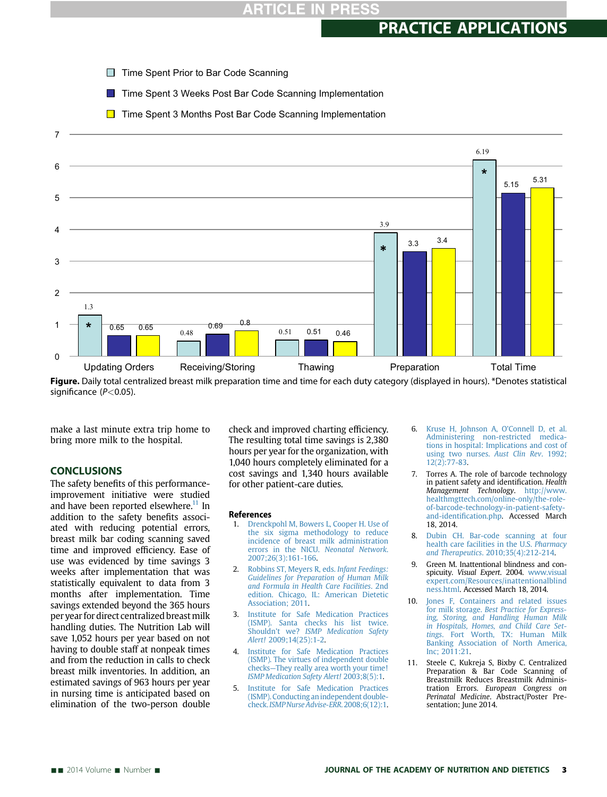### **RTICLE IN**

# PRACTICE APPLICATIONS

<span id="page-2-0"></span>

significance (P<0.05).

make a last minute extra trip home to bring more milk to the hospital.

### **CONCLUSIONS**

The safety benefits of this performanceimprovement initiative were studied and have been reported elsewhere.<sup>11</sup> In addition to the safety benefits associated with reducing potential errors, breast milk bar coding scanning saved time and improved efficiency. Ease of use was evidenced by time savings 3 weeks after implementation that was statistically equivalent to data from 3 months after implementation. Time savings extended beyond the 365 hours per year for direct centralized breastmilk handling duties. The Nutrition Lab will save 1,052 hours per year based on not having to double staff at nonpeak times and from the reduction in calls to check breast milk inventories. In addition, an estimated savings of 963 hours per year in nursing time is anticipated based on elimination of the two-person double

check and improved charting efficiency. The resulting total time savings is 2,380 hours per year for the organization, with 1,040 hours completely eliminated for a cost savings and 1,340 hours available for other patient-care duties.

#### References

- 1. [Drenckpohl M, Bowers L, Cooper H. Use of](http://refhub.elsevier.com/S2212-2672(14)01050-8/sref1) [the six sigma methodology to reduce](http://refhub.elsevier.com/S2212-2672(14)01050-8/sref1) [incidence of breast milk administration](http://refhub.elsevier.com/S2212-2672(14)01050-8/sref1) [errors in the NICU.](http://refhub.elsevier.com/S2212-2672(14)01050-8/sref1) Neonatal Network. [2007;26\(3\):161-166](http://refhub.elsevier.com/S2212-2672(14)01050-8/sref1).
- 2. [Robbins ST, Meyers R, eds.](http://refhub.elsevier.com/S2212-2672(14)01050-8/sref2) Infant Feedings: [Guidelines for Preparation of Human Milk](http://refhub.elsevier.com/S2212-2672(14)01050-8/sref2) [and Formula in Health Care Facilities](http://refhub.elsevier.com/S2212-2672(14)01050-8/sref2). 2nd [edition. Chicago, IL: American Dietetic](http://refhub.elsevier.com/S2212-2672(14)01050-8/sref2) [Association; 2011](http://refhub.elsevier.com/S2212-2672(14)01050-8/sref2).
- 3. [Institute for Safe Medication Practices](http://refhub.elsevier.com/S2212-2672(14)01050-8/sref3) [\(ISMP\). Santa checks his list twice.](http://refhub.elsevier.com/S2212-2672(14)01050-8/sref3) Shouldn't we? [ISMP Medication Safety](http://refhub.elsevier.com/S2212-2672(14)01050-8/sref3) Alert! [2009;14\(25\):1-2.](http://refhub.elsevier.com/S2212-2672(14)01050-8/sref3)
- 4. [Institute for Safe Medication Practices](http://refhub.elsevier.com/S2212-2672(14)01050-8/sref4) [\(ISMP\). The virtues of independent double](http://refhub.elsevier.com/S2212-2672(14)01050-8/sref4) checks—[They really area worth your time!](http://refhub.elsevier.com/S2212-2672(14)01050-8/sref4) [ISMP Medication Safety Alert!](http://refhub.elsevier.com/S2212-2672(14)01050-8/sref4) 2003;8(5):1.
- 5. [Institute for Safe Medication Practices](http://refhub.elsevier.com/S2212-2672(14)01050-8/sref5) [\(ISMP\). Conducting anindependent double](http://refhub.elsevier.com/S2212-2672(14)01050-8/sref5)check.[ISMPNurse Advise-ERR](http://refhub.elsevier.com/S2212-2672(14)01050-8/sref5). 2008;6(12):1.
- 6. [Kruse H, Johnson A, O](http://refhub.elsevier.com/S2212-2672(14)01050-8/sref6)'Connell D, et al. [Administering non-restricted medica](http://refhub.elsevier.com/S2212-2672(14)01050-8/sref6)[tions in hospital: Implications and cost of](http://refhub.elsevier.com/S2212-2672(14)01050-8/sref6) [using two nurses.](http://refhub.elsevier.com/S2212-2672(14)01050-8/sref6) Aust Clin Rev. 1992; [12\(2\):77-83](http://refhub.elsevier.com/S2212-2672(14)01050-8/sref6).
- 7. Torres A. The role of barcode technology in patient safety and identification. Health Management Technology. [http://www.](http://www.healthmgttech.com/online-only/the-role-of-barcode-technology-in-patient-safety-and-identification.php) [healthmgttech.com/online-only/the-role](http://www.healthmgttech.com/online-only/the-role-of-barcode-technology-in-patient-safety-and-identification.php)[of-barcode-technology-in-patient-safety](http://www.healthmgttech.com/online-only/the-role-of-barcode-technology-in-patient-safety-and-identification.php)and-identifi[cation.php](http://www.healthmgttech.com/online-only/the-role-of-barcode-technology-in-patient-safety-and-identification.php). Accessed March 18, 2014.
- 8. [Dubin CH. Bar-code scanning at four](http://refhub.elsevier.com/S2212-2672(14)01050-8/sref8) [health care facilities in the U.S.](http://refhub.elsevier.com/S2212-2672(14)01050-8/sref8) Pharmacy and Therapeutics[. 2010;35\(4\):212-214](http://refhub.elsevier.com/S2212-2672(14)01050-8/sref8).
- 9. Green M. Inattentional blindness and conspicuity. Visual Expert. 2004. [www.visual](http://www.visualexpert.com/Resources/inattentionalblindness.html) [expert.com/Resources/inattentionalblind](http://www.visualexpert.com/Resources/inattentionalblindness.html) [ness.html](http://www.visualexpert.com/Resources/inattentionalblindness.html). Accessed March 18, 2014.
- 10. [Jones F, Containers and related issues](http://refhub.elsevier.com/S2212-2672(14)01050-8/sref10) for milk storage. [Best Practice for Express](http://refhub.elsevier.com/S2212-2672(14)01050-8/sref10)[ing, Storing, and Handling Human Milk](http://refhub.elsevier.com/S2212-2672(14)01050-8/sref10) [in Hospitals, Homes, and Child Care Set](http://refhub.elsevier.com/S2212-2672(14)01050-8/sref10)tings[. Fort Worth, TX: Human Milk](http://refhub.elsevier.com/S2212-2672(14)01050-8/sref10) [Banking Association of North America,](http://refhub.elsevier.com/S2212-2672(14)01050-8/sref10) [Inc; 2011:21](http://refhub.elsevier.com/S2212-2672(14)01050-8/sref10).
- 11. Steele C, Kukreja S, Bixby C. Centralized Preparation & Bar Code Scanning of Breastmilk Reduces Breastmilk Administration Errors. European Congress on Perinatal Medicine. Abstract/Poster Presentation; June 2014.